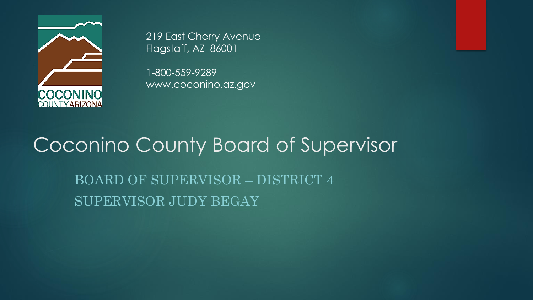

219 East Cherry Avenue Flagstaff, AZ 86001

1-800-559-9289 www.coconino.az.gov

### Coconino County Board of Supervisor

BOARD OF SUPERVISOR – DISTRICT 4 SUPERVISOR JUDY BEGAY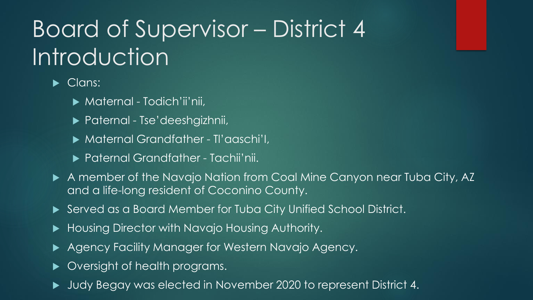## Board of Supervisor – District 4 Introduction

Clans:

Maternal - Todich'ii'nii,

- ▶ Paternal Tse'deeshgizhnii,
- Maternal Grandfather Tl'aaschi'I,
- ▶ Paternal Grandfather Tachii'nii.
- A member of the Navajo Nation from Coal Mine Canyon near Tuba City, AZ and a life-long resident of Coconino County.
- Served as a Board Member for Tuba City Unified School District.
- ▶ Housing Director with Navajo Housing Authority.
- Agency Facility Manager for Western Navajo Agency.
- Oversight of health programs.
- Judy Begay was elected in November 2020 to represent District 4.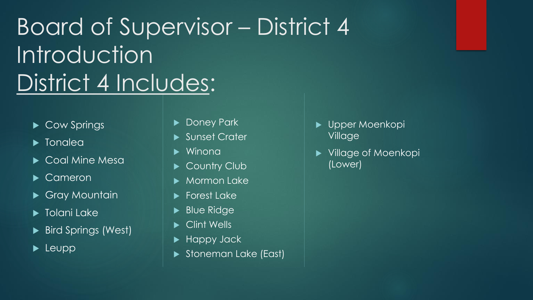# Board of Supervisor – District 4 Introduction District 4 Includes:

- Cow Springs
- **Dela** Tonalea
- ▶ Coal Mine Mesa
- Cameron
- ▶ Gray Mountain
- $\blacktriangleright$  Tolani Lake
- Bird Springs (West)
- $\blacktriangleright$  Leupp
- Doney Park
- Sunset Crater
- Winona
- **Country Club**
- Mormon Lake
- Forest Lake
- Blue Ridge
- Clint Wells
- ▶ Happy Jack
- Stoneman Lake (East)
- Upper Moenkopi Village
- ▶ Village of Moenkopi (Lower)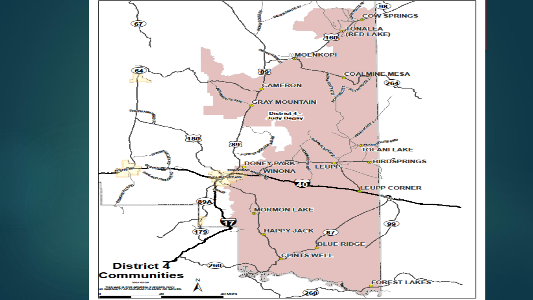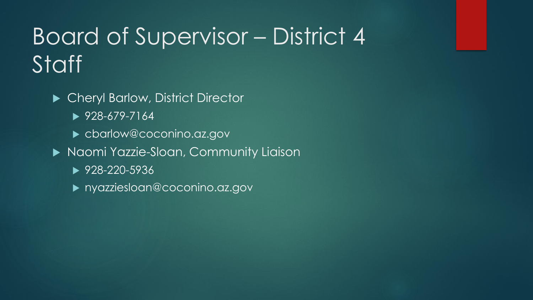### Board of Supervisor – District 4 **Staff**

- ▶ Cheryl Barlow, District Director
	- $\blacktriangleright$  928-679-7164
	- cbarlow@coconino.az.gov
- Naomi Yazzie-Sloan, Community Liaison
	- ▶ 928-220-5936
	- nyazziesloan@coconino.az.gov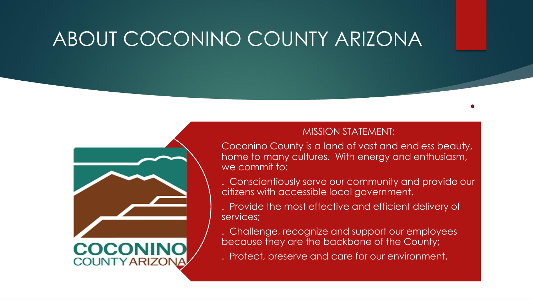### ABOUT COCONINO COUNTY ARIZONA



#### MISSION STATEMENT:

Coconino County is a land of vast and endless beauty, home to many cultures. With energy and enthusiasm, we commit to:

. Conscientiously serve our community and provide our citizens with accessible local government.

. Provide the most effective and efficient delivery of services;

. Challenge, recognize and support our employees because they are the backbone of the County;

. Protect, preserve and care for our environment.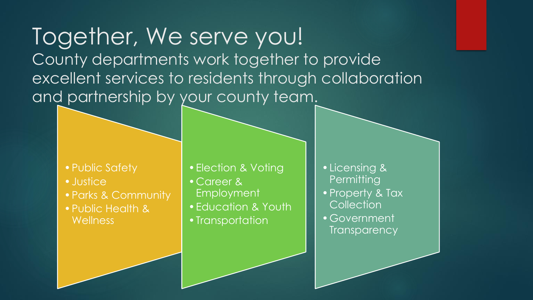Together, We serve you! County departments work together to provide excellent services to residents through collaboration and partnership by your county team.

- Public Safety
- •Justice
- •Parks & Community
- •Public Health & **Wellness**
- •Election & Voting
- •Career & Employment
- •Education & Youth
- Transportation
- •Licensing & **Permitting**
- •Property & Tax **Collection**
- •Government **Transparency**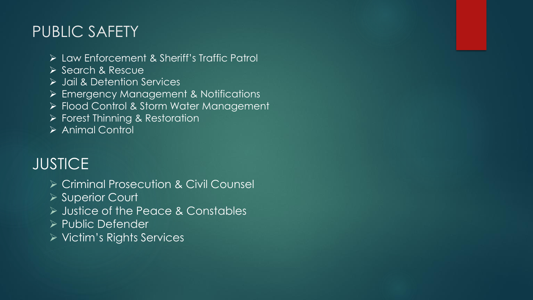### PUBLIC SAFETY

- ➢ Law Enforcement & Sheriff's Traffic Patrol
- ➢ Search & Rescue
- ➢ Jail & Detention Services
- ➢ Emergency Management & Notifications
- ➢ Flood Control & Storm Water Management
- ➢ Forest Thinning & Restoration
- ➢ Animal Control

### **JUSTICE**

- ➢ Criminal Prosecution & Civil Counsel
- ➢ Superior Court
- ➢ Justice of the Peace & Constables
- ➢ Public Defender
- ➢ Victim's Rights Services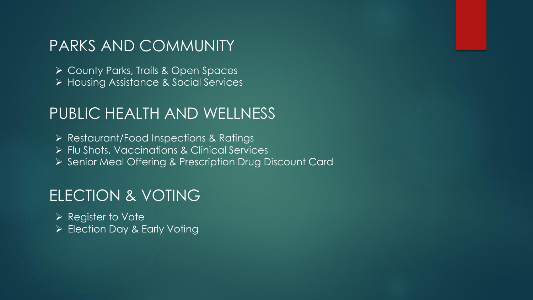#### PARKS AND COMMUNITY

➢ County Parks, Trails & Open Spaces ➢ Housing Assistance & Social Services

#### PUBLIC HEALTH AND WELLNESS

➢ Restaurant/Food Inspections & Ratings

➢ Flu Shots, Vaccinations & Clinical Services

➢ Senior Meal Offering & Prescription Drug Discount Card

#### ELECTION & VOTING

➢ Register to Vote ➢ Election Day & Early Voting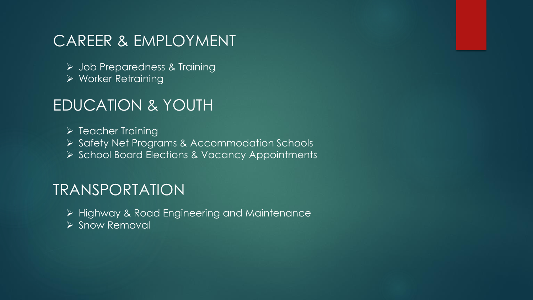#### CAREER & EMPLOYMENT

- ➢ Job Preparedness & Training
- ➢ Worker Retraining

#### EDUCATION & YOUTH

➢ Teacher Training ➢ Safety Net Programs & Accommodation Schools ➢ School Board Elections & Vacancy Appointments

#### TRANSPORTATION

- ➢ Highway & Road Engineering and Maintenance
- ➢ Snow Removal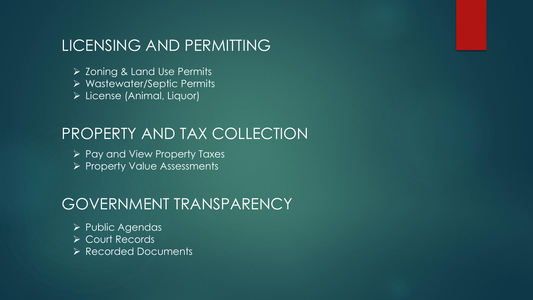#### LICENSING AND PERMITTING

- ➢ Zoning & Land Use Permits
- ➢ Wastewater/Septic Permits
- ➢ License (Animal, Liquor)

#### PROPERTY AND TAX COLLECTION

- ➢ Pay and View Property Taxes
- ➢ Property Value Assessments

#### GOVERNMENT TRANSPARENCY

- ➢ Public Agendas
- ➢ Court Records
- ➢ Recorded Documents